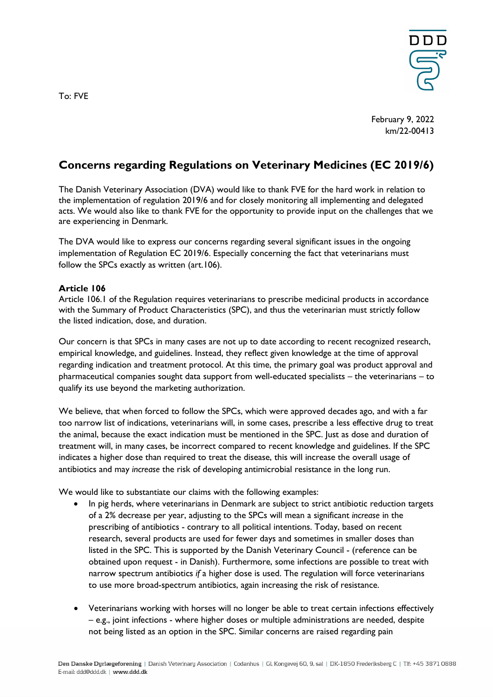

February 9, 2022 km/22-00413

## **Concerns regarding Regulations on Veterinary Medicines (EC 2019/6)**

The Danish Veterinary Association (DVA) would like to thank FVE for the hard work in relation to the implementation of regulation 2019/6 and for closely monitoring all implementing and delegated acts. We would also like to thank FVE for the opportunity to provide input on the challenges that we are experiencing in Denmark.

The DVA would like to express our concerns regarding several significant issues in the ongoing implementation of Regulation EC 2019/6. Especially concerning the fact that veterinarians must follow the SPCs exactly as written (art.106).

## **Article 106**

Article 106.1 of the Regulation requires veterinarians to prescribe medicinal products in accordance with the Summary of Product Characteristics (SPC), and thus the veterinarian must strictly follow the listed indication, dose, and duration.

Our concern is that SPCs in many cases are not up to date according to recent recognized research, empirical knowledge, and guidelines. Instead, they reflect given knowledge at the time of approval regarding indication and treatment protocol. At this time, the primary goal was product approval and pharmaceutical companies sought data support from well-educated specialists – the veterinarians – to qualify its use beyond the marketing authorization.

We believe, that when forced to follow the SPCs, which were approved decades ago, and with a far too narrow list of indications, veterinarians will, in some cases, prescribe a less effective drug to treat the animal, because the exact indication must be mentioned in the SPC. Just as dose and duration of treatment will, in many cases, be incorrect compared to recent knowledge and guidelines. If the SPC indicates a higher dose than required to treat the disease, this will increase the overall usage of antibiotics and may *increase* the risk of developing antimicrobial resistance in the long run.

We would like to substantiate our claims with the following examples:

- In pig herds, where veterinarians in Denmark are subject to strict antibiotic reduction targets of a 2% decrease per year, adjusting to the SPCs will mean a significant *increase* in the prescribing of antibiotics - contrary to all political intentions. Today, based on recent research, several products are used for fewer days and sometimes in smaller doses than listed in the SPC. This is supported by the Danish Veterinary Council - (reference can be obtained upon request - in Danish). Furthermore, some infections are possible to treat with narrow spectrum antibiotics *if* a higher dose is used. The regulation will force veterinarians to use more broad-spectrum antibiotics, again increasing the risk of resistance.
- Veterinarians working with horses will no longer be able to treat certain infections effectively – e.g., joint infections - where higher doses or multiple administrations are needed, despite not being listed as an option in the SPC. Similar concerns are raised regarding pain

To: FVE